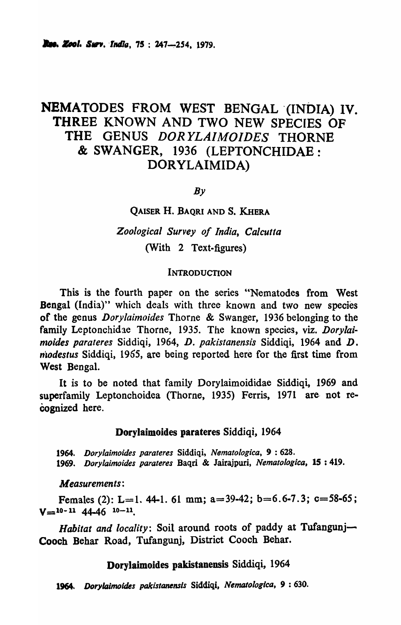# NEMATODES FROM WEST BENGAL '(INDIA) IV. THREE KNOWN AND TWO NEW SPECIES OF THE GENUS *DORYLAIMOIDES* THORNE & SWANGER, 1936 (LEPTONCHIDAE: DORYLAIMIDA)

 $Bv$ 

QAISER H. BAQRI AND S. KHERA

*Zoological Survey of India, Calcutta*  (With 2 Text-figures)

#### **INTRODUCTION**

This is the fourth paper on the series "Nematodes from West Bengal (India)" which deals with three known and two new species of the genus *Dorylaimoides* Thorne & Swanger, 1936 belonging. to the family Leptonchidae Thorne, 1935. The known species, viz. *Dory/a; moides parateres Siddiqi, 1964, D. pakistanensis Siddiqi, 1964 and D. niodestus* Siddiqi, 1965, arc being reported here for the first time from West Bengal.

It is to be noted that family Dorylaimoididae Siddiqi, 1969 and superfamily Leptonchoidea (Thorne, 1935) Ferris, 1971 are not recognized here.

#### Dorylaimoides parateres Siddiqi, 1964

*1964. Dorylaimoides parateres* Siddiqi, *Nematologica,* 9 : 628. *1969. Dorylaimoides parateres* Baqri & Jairajpuri, *Nematologica,* 15 : 41.9.

*Measurements:* 

Females (2): L=1. 44-1. 61 mm; a=39-42; b=6.6-7.3; c=58-65;  $V=10-11$  44-46  $10-11$ .

Habitat and locality: Soil around roots of paddy at Tufangunj-Cooch Behar Road, Tufangunj, District Cooch Behar.

#### DoryJaimoides pakistanensis Siddiqi, 1964

1964. *Dorylaimoides pakistanensis* Siddiqi, *Nematologica*, 9:630.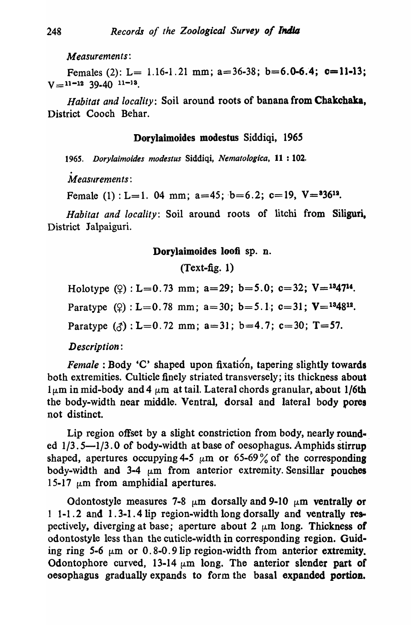*Measurements:* 

Females (2): L= 1.16-1.21 mm; a=36-38; b=6.0-6.4; c=11-13;  $V =$ 11-12 39.40 11-13.

*Habitat and locality:* Soil around roots of banana from Chakchaka, District Cooch Behar.

## Dorylaimoides modestus Siddiqi, 1965

*1965. Doryiaimoides modestus* Siddiqi, *Nematoiog;ca,* 11 : 102 .

.<br>.<br>. M *easllrements* :

Female  $(1)$ : L=1. 04 mm; a=45; b=6.2; c=19, V= $36^{12}$ .

*Habitat and locality:* Soil around roots of litchi from Siliguri, District Jalpaiguri.

### Dorylaimoides loofi sp. n.

# $(Text-fig. 1)$

Holotype  $(2)$ : L=0.73 mm; a=29; b=5.0; c=32; V=<sup>13</sup>47<sup>14</sup>.

Paratype  $(2)$ : L=0.78 mm; a=30; b=5.1; c=31; V=<sup>13</sup>48<sup>12</sup>.

Paratype  $(3)$ : L=0.72 mm; a=31; b=4.7; c=30; T=57.

*Description:* 

*Female*: Body 'C' shaped upon fixation, tapering slightly towards both extremities. Culticle finely striated transversely; its thickness about  $1 \mu$ m in mid-body and 4  $\mu$ m at tail. Lateral chords granular, about 1/6th the body-width near middle. Ventral, dorsal and lateral body porea not distinct.

Lip region offset by a slight constriction from body, nearly rounded  $1/3.5-1/3.0$  of body-width at base of oesophagus. Amphids stirrup shaped, apertures occupying 4-5  $\mu$ m or 65-69% of the corresponding body-width and 3-4  $\mu$ m from anterior extremity. Sensillar pouches 15-17  $\mu$ m from amphidial apertures.

Odontostyle measures 7-8  $\mu$ m dorsally and 9-10  $\mu$ m ventrally or 1 1-1.2 and 1. 3-1.4 lip region-width long dorsally and ventrally respectively, diverging at base; aperture about 2  $\mu$ m long. Thickness of odontostyle less than the cuticle-width in corresponding region. Guiding ring 5-6  $\mu$ m or 0.8-0.9 lip region-width from anterior extremity. Odontophore curved, 13-14  $\mu$ m long. The anterior slender part of oesophagus gradually expands to form the basal expanded portion.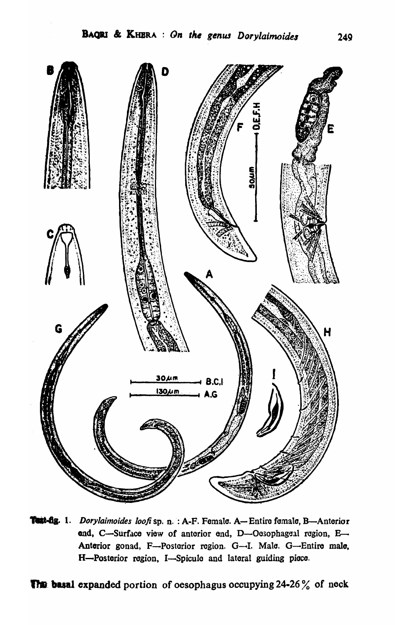

**Test-fig.** 1. Dorylaimoides loofi sp. n. : A-F. Female. A-Entire female, B-Anterior end, C-Surface view of anterior end, D-Oesophageal region, E-Anterior gonad, F-Posterior region. G-I. Male. G-Entire male, H-Posterior region, I-Spicule and lateral guiding piece.

**The basal expanded portion of oesophagus occupying 24-26% of neck**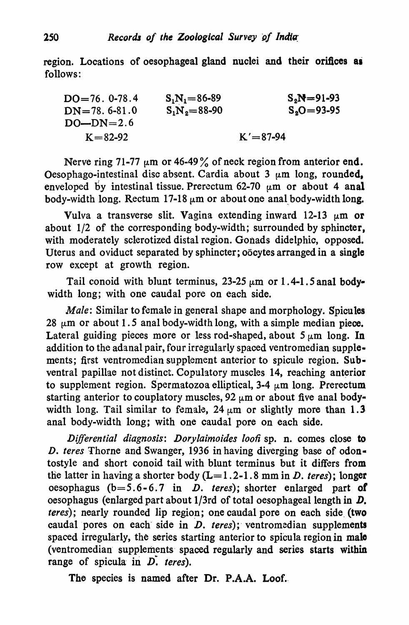region. Locations of oesophageal gland nuclei and their orifices as follows:

| $DO=76. 0-78.4$ | $S_1N_1=86-89$ | $S_2N=91-93$ |
|-----------------|----------------|--------------|
| $DN=78. 6-81.0$ | $S_1N_2=88-90$ | $S_2O=93-95$ |
| $DO-DN=2.6$     | $K=82-92$      | $K'=87-94$   |

Nerve ring 71-77  $\mu$ m or 46-49% of neck region from anterior end. Oesophago-intestinal disc absent. Cardia about  $3 \mu m$  long, rounded, enveloped by intestinal tissue. Prerectum 62-70  $\mu$ m or about 4 anal body-width long. Rectum 17-18  $\mu$ m or about one anal body-width long.

Vulva a transverse slit. Vagina extending inward 12-13  $\mu$ m or about 1/2 of the corresponding body-width; surrounded by sphincter, with moderately sclerotized distal region. Gonads didelphic, opposed. Uterus and oviduct separated by sphincter; oocytes arranged in a single row except at growth region.

Tail conoid with blunt terminus, 23-25  $\mu$ m or 1.4-1.5 anal bodywidth long; with one caudal pore on each side.

*Male:* Similar to female in general shape and morphology. Spicules 28  $\mu$ m or about 1.5 anal body-width long, with a simple median piece. Lateral guiding pieces more or less rod-shaped, about  $5 \mu m$  long. In addition to the adanal pair, four irregularly spaced ventromedian supplements; first ventromedian supplement anterior to spicule region. Sub· ventral papillae not distinct. Copulatory muscles 14, reaching anterior to supplement region. Spermatozoa elliptical, 3-4  $\mu$ m long. Prerectum starting anterior to couplatory muscles, 92  $\mu$ m or about five anal bodywidth long. Tail similar to female,  $24 \mu m$  or slightly more than 1.3 anal body-width long; with one caudal pore on each side.

*Differential diagnosis: Dorylaimoides loofi* sp. n. comes close to *D. teres* Thorne and Swanger, 1936 in having diverging base of odontostyle and short conoid tail with blunt terminus but it differs from the latter in having a shorter body  $(L=1.2-1.8 \text{ mm in } D$ . *teres*); longer oesophagus (b=S.6-6.7 in *D. teres);* shorter enlarged part *01*  oesophagus (enlarged part about  $1/3$ rd of total oesophageal length in  $D$ . *teres*); nearly rounded lip region; one caudal pore on each side (two caudal pores on each side in *D. teres*); ventromedian supplements spaced irregularly, the series starting anterior to spicula region in male (ventromedian· supplements· spaced regularly and series starts within range of spicula in  $\overline{D}$ . *teres*).

The species is named after Dr. P.A.A. Loof.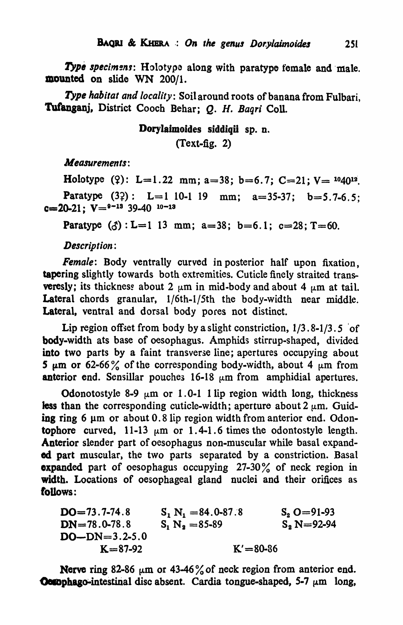Type specimens: Holotype along with paratype female and male. mounted on slide WN 200/1.

*Type habitat and locality:* Soil around roots of banana from Fulbari, Tufanganj, District Cooch Behar; Q. H. Baqri Coll.

# DoryJaimoides siddiqii sp. D. (Text-fig. 2)

*Measurements:* 

Holotype (?): L=1.22 mm; a=38; b=6.7; C=21; V=  $^{10}40^{12}$ . Paratype  $(32)$ : L=1 10-1 19 mm; a=35-37; b=5.7-6.5;  $c=20-21$ ;  $V={}^{9-13}$  39-40  $10-13$ 

Paratype  $(3)$ : L=1 13 mm; a=38; b=6.1; c=28; T=60.

*Description:* 

*Female:* Body ventrally curved in posterior half upon fixation, tapering slightly towards both extremities. Cuticle finely straited transveresly; its thickness about 2  $\mu$ m in mid-body and about 4  $\mu$ m at tail. Lateral chords granular, 1/6th-I/Sth the body-width near middle. Lateral, ventral and dorsal body pores not distinct.

Lip region offset from body by a slight constriction,  $1/3.8-1/3.5$  of body-width ats base of oesophagus. Amphids stirrup-shaped, divided into two parts by a faint transverse line; apertures occupying about 5  $\mu$ m or 62-66% of the corresponding body-width, about 4  $\mu$ m from anterior end. Sensillar pouches  $16-18 \mu m$  from amphidial apertures.

Odonotostyle 8-9  $\mu$ m or 1.0-1 1 lip region width long, thickness less than the corresponding cuticle-width; aperture about 2  $\mu$ m. Guiding ring 6  $\mu$ m or about 0.8 lip region width from anterior end. Odontophore curved, 11-13  $\mu$ m or 1.4-1.6 times the odontostyle length. Anterior slender part of oesophagus non-muscular while basal expanded part muscular, the two parts separated by a constriction. Basal expanded part of oesophagus occupying 27-30% of neck region in width. Locations of oesophageal gland nuclei and their orifices as follows:

 $DO=73.7-74.8$  $DN = 78.0 - 78.8$  $DO-DN=3.2-5.0$  $K = 87 - 92$  $S_1 N_1 = 84.0 - 87.8$  $S_1 N_2 = 85 - 89$  $K' = 80 - 86$  $S_2$  O = 91-93  $S_2$  N=92-94

Nerve ring 82-86  $\mu$ m or 43-46% of neck region from anterior end. Oetophago-intestinal disc absent. Cardia tongue-shaped, 5-7  $\mu$ m long,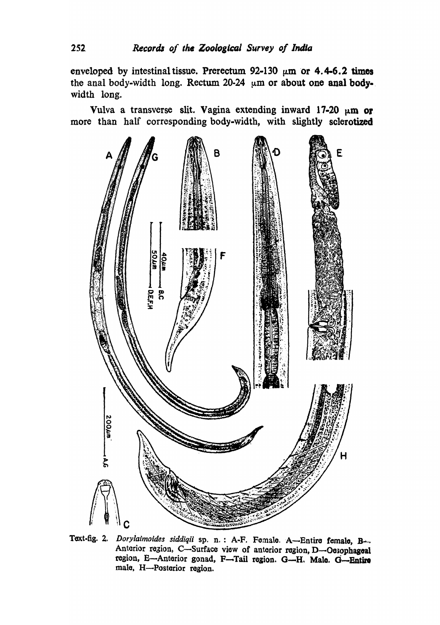enveloped by intestinal tissue. Prerectum 92-130  $\mu$ m or 4.4-6.2 times the anal body-width long. Rectum 20-24  $\mu$ m or about one anal bodywidth long.

Vulva a transverse slit. Vagina extending inward  $17-20 \mu m$  or more than half corresponding body-width, with slightly sclerotized



Text-fig. 2. *Dorylaimoides siddiqii* sp. n.: A-F. Fomale. A-Entire female, B-Anterior region, C-Surface view of anterior region, D-Oesophageal region, E-Anterior gonad, F-Tail region. G-H. Male. G-Entire male, H-Posterior region.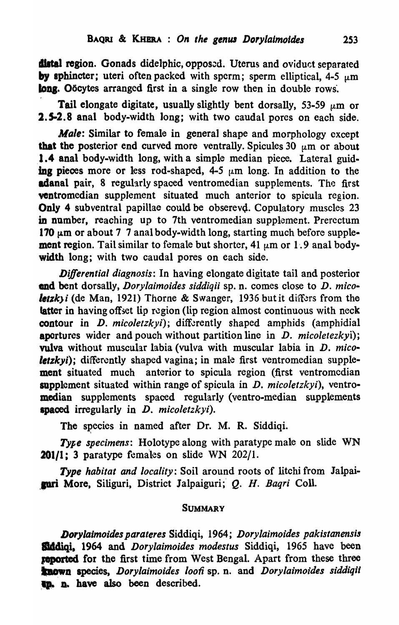distal region. Gonads didelphic, opposed. Uterus and oviduct separated by sphincter; uteri often packed with sperm; sperm elliptical,  $4-5 \mu m$ long. Oocytes arranged first in a single row then in double rows.

Tail elongate digitate, usually slightly bent dorsally, 53-59  $\mu$ m or 2.5-2.8 anal body-width long; with two caudal pores on each side.

*Male:* Similar to female in general shape and morphology except that the posterior end curved more ventrally. Spicules 30  $\mu$ m or about 1.4 anal body-width long, with a simple median piece. Lateral guiding pieces more or less rod-shaped, 4-5  $\mu$ m long. In addition to the adanal pair, 8 regularly spaced ventromedian supplements. The first ventromedian supplement situated much anterior to spicula region. Only 4 subventral papillae could be obserevd. Copulatory muscles 23 in number, reaching up to 7th ventromedian supplement. Prerectum 170  $\mu$ m or about 7 7 anal body-width long, starting much before supplement region. Tail similar to female but shorter, 41  $\mu$ m or 1.9 anal bodywidth long; with two caudal pores on each side.

*Differential diagnosis:* In having elongate digitate tail and posterior end bent dorsally, *Dorylaimoides siddiqii* sp. n. comes close to D. *micoletzk)i* (de Man, 1921) Thorne & Swanger, 1936 but it differs from the latter in having offset lip region (lip region almost continuous with neck contour in *D. micoletzkyi*); differently shaped amphids (amphidial apertures wider and pouch without partition line in D. *micoietezkyi);*  vulva without muscular labia (vulva with muscular labia in D. *mico letzkyi*); differently shaped vagina; in male first ventromedian supplement situated much anterior to spicula region (first ventromedian supplement situated within range of spicula in D. *micoletzkyi),* ventromedian supplements spaced regularly (ventro-median supplements spaced irregularly in D. *micoletzkyi).* 

The species in named after Dr. M. R. Siddiqi.

Type specimens: Holotype along with paratype male on slide WN 201/1; 3 paratype females on slide WN 202/1.

*Type habitat and locality:* Soil around roots of litchi from Jalpai- .pri More, Siliguri, District lalpaiguri;" Q. H. *Baqri* ColI.

### **SUMMARY**

*Dorylalmoides parateres* Siddiqi, 1964; *Dorylaimoides pakistanens;s*  Stddiqi, 1964 and *Dorylaimoides modestus* Siddiqi, 1965 have been reported for the first time from West Bengal. Apart from these three known species, *Dorylaimoides loofi* sp. n. and *Dorylaimoides siddiqii* **In.** n. have also been described.